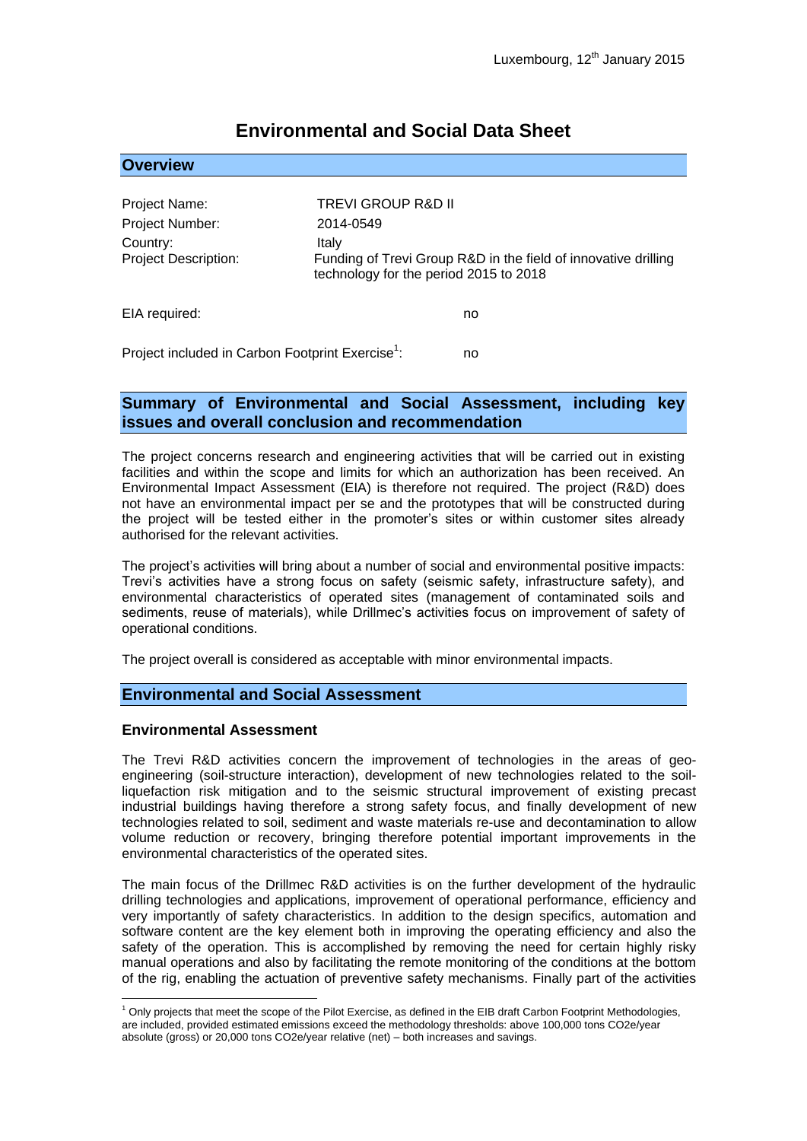| <b>OVEIVIEW</b>                         |                                                                                                                   |
|-----------------------------------------|-------------------------------------------------------------------------------------------------------------------|
|                                         |                                                                                                                   |
| Project Name:                           | TREVI GROUP R&D II                                                                                                |
| Project Number:                         | 2014-0549                                                                                                         |
| Country:<br><b>Project Description:</b> | Italy<br>Funding of Trevi Group R&D in the field of innovative drilling<br>technology for the period 2015 to 2018 |
| EIA required:                           | no                                                                                                                |

# **Environmental and Social Data Sheet**

Project included in Carbon Footprint Exercise<sup>1</sup>: : no

### **Summary of Environmental and Social Assessment, including key issues and overall conclusion and recommendation**

The project concerns research and engineering activities that will be carried out in existing facilities and within the scope and limits for which an authorization has been received. An Environmental Impact Assessment (EIA) is therefore not required. The project (R&D) does not have an environmental impact per se and the prototypes that will be constructed during the project will be tested either in the promoter's sites or within customer sites already authorised for the relevant activities.

The project's activities will bring about a number of social and environmental positive impacts: Trevi's activities have a strong focus on safety (seismic safety, infrastructure safety), and environmental characteristics of operated sites (management of contaminated soils and sediments, reuse of materials), while Drillmec's activities focus on improvement of safety of operational conditions.

The project overall is considered as acceptable with minor environmental impacts.

#### **Environmental and Social Assessment**

#### **Environmental Assessment**

1

**Overview**

The Trevi R&D activities concern the improvement of technologies in the areas of geoengineering (soil-structure interaction), development of new technologies related to the soilliquefaction risk mitigation and to the seismic structural improvement of existing precast industrial buildings having therefore a strong safety focus, and finally development of new technologies related to soil, sediment and waste materials re-use and decontamination to allow volume reduction or recovery, bringing therefore potential important improvements in the environmental characteristics of the operated sites.

The main focus of the Drillmec R&D activities is on the further development of the hydraulic drilling technologies and applications, improvement of operational performance, efficiency and very importantly of safety characteristics. In addition to the design specifics, automation and software content are the key element both in improving the operating efficiency and also the safety of the operation. This is accomplished by removing the need for certain highly risky manual operations and also by facilitating the remote monitoring of the conditions at the bottom of the rig, enabling the actuation of preventive safety mechanisms. Finally part of the activities

 $1$  Only projects that meet the scope of the Pilot Exercise, as defined in the EIB draft Carbon Footprint Methodologies, are included, provided estimated emissions exceed the methodology thresholds: above 100,000 tons CO2e/year absolute (gross) or 20,000 tons CO2e/year relative (net) – both increases and savings.